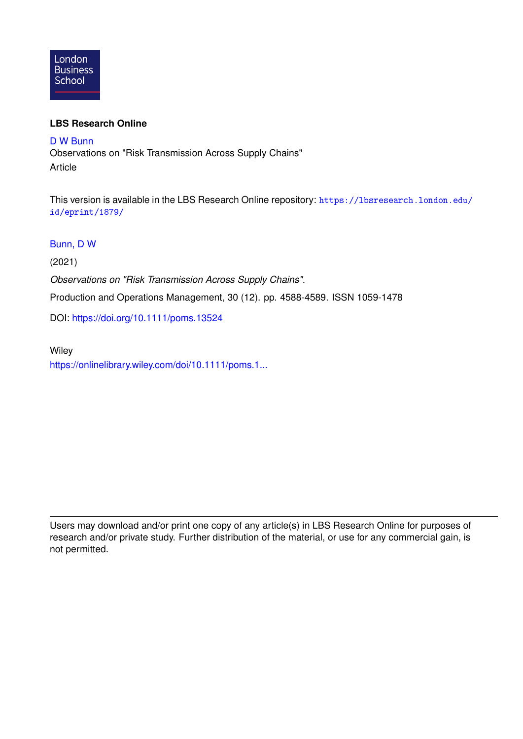

### **LBS Research Online**

[D W Bunn](https://lbsresearch.london.edu/view/lbs_authors/200683.html) Observations on "Risk Transmission Across Supply Chains" Article

This version is available in the LBS Research Online repository: [https://lbsresearch.london.edu/](https://lbsresearch.london.edu/id/eprint/1879/) [id/eprint/1879/](https://lbsresearch.london.edu/id/eprint/1879/)

### [Bunn, D W](https://lbsresearch.london.edu/view/lbs_authors/200683.html)

(2021)

*Observations on "Risk Transmission Across Supply Chains".*

Production and Operations Management, 30 (12). pp. 4588-4589. ISSN 1059-1478

DOI: <https://doi.org/10.1111/poms.13524>

**Wiley** [https://onlinelibrary.wiley.com/doi/10.1111/poms.1...](https://onlinelibrary.wiley.com/doi/10.1111/poms.13524)

Users may download and/or print one copy of any article(s) in LBS Research Online for purposes of research and/or private study. Further distribution of the material, or use for any commercial gain, is not permitted.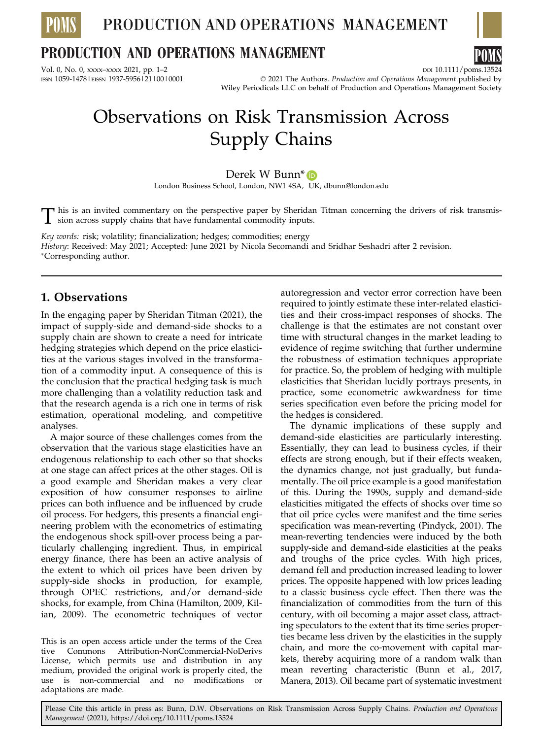

## **PRODUCTION AND OPERATIONS MANAGEMENT**

Vol. 0, No. 0, xxxx–xxxx 2021, pp. 1–2<br>
1937-595612110010001 ESN 1059-14781EISSN 1937-595612110010001 DOI 10001 ESN 1059-14781EISSN 1937-595612110010001

 $O$  2021 The Authors. Production and Operations Management published by Wiley Periodicals LLC on behalf of Production and Operations Management Society

# Observations on Risk Transmission Across Supply Chains

### Derek W Bunn<sup>\*</sup>

London Business School, London, NW1 4SA, UK, dbunn@london.edu

This is an invited commentary on the perspective paper by Sheridan Titman concerning the drivers of risk transmission across supply chains that have fundamental commodity inputs.

Key words: risk; volatility; financialization; hedges; commodities; energy History: Received: May 2021; Accepted: June 2021 by Nicola Secomandi and Sridhar Seshadri after 2 revision. Corresponding author.

### 1. Observations

In the engaging paper by Sheridan Titman (2021), the impact of supply-side and demand-side shocks to a supply chain are shown to create a need for intricate hedging strategies which depend on the price elasticities at the various stages involved in the transformation of a commodity input. A consequence of this is the conclusion that the practical hedging task is much more challenging than a volatility reduction task and that the research agenda is a rich one in terms of risk estimation, operational modeling, and competitive analyses.

A major source of these challenges comes from the observation that the various stage elasticities have an endogenous relationship to each other so that shocks at one stage can affect prices at the other stages. Oil is a good example and Sheridan makes a very clear exposition of how consumer responses to airline prices can both influence and be influenced by crude oil process. For hedgers, this presents a financial engineering problem with the econometrics of estimating the endogenous shock spill-over process being a particularly challenging ingredient. Thus, in empirical energy finance, there has been an active analysis of the extent to which oil prices have been driven by supply-side shocks in production, for example, through OPEC restrictions, and/or demand-side shocks, for example, from China (Hamilton, 2009, Kilian, 2009). The econometric techniques of vector

This is an open access article under the terms of the [Crea](http://creativecommons.org/licenses/by-nc-nd/4.0/) [tive Commons Attribution-NonCommercial-NoDerivs](http://creativecommons.org/licenses/by-nc-nd/4.0/) License, which permits use and distribution in any medium, provided the original work is properly cited, the use is non-commercial and no modifications adaptations are made.

autoregression and vector error correction have been required to jointly estimate these inter-related elasticities and their cross-impact responses of shocks. The challenge is that the estimates are not constant over time with structural changes in the market leading to evidence of regime switching that further undermine the robustness of estimation techniques appropriate for practice. So, the problem of hedging with multiple elasticities that Sheridan lucidly portrays presents, in practice, some econometric awkwardness for time series specification even before the pricing model for the hedges is considered.

The dynamic implications of these supply and demand-side elasticities are particularly interesting. Essentially, they can lead to business cycles, if their effects are strong enough, but if their effects weaken, the dynamics change, not just gradually, but fundamentally. The oil price example is a good manifestation of this. During the 1990s, supply and demand-side elasticities mitigated the effects of shocks over time so that oil price cycles were manifest and the time series specification was mean-reverting (Pindyck, 2001). The mean-reverting tendencies were induced by the both supply-side and demand-side elasticities at the peaks and troughs of the price cycles. With high prices, demand fell and production increased leading to lower prices. The opposite happened with low prices leading to a classic business cycle effect. Then there was the financialization of commodities from the turn of this century, with oil becoming a major asset class, attracting speculators to the extent that its time series properties became less driven by the elasticities in the supply chain, and more the co-movement with capital markets, thereby acquiring more of a random walk than mean reverting characteristic (Bunn et al., 2017, Manera, 2013). Oil became part of systematic investment

Please Cite this article in press as: Bunn, D.W. Observations on Risk Transmission Across Supply Chains. Production and Operations Management (2021),<https://doi.org/10.1111/poms.13524>